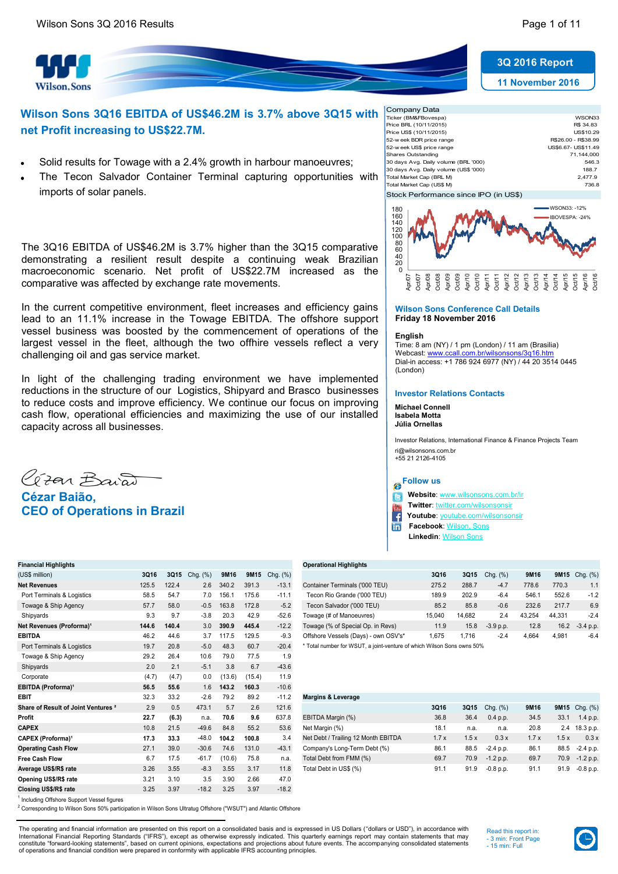



# **Wilson Sons 3Q16 EBITDA of US\$46.2M is 3.7% above 3Q15 with net Profit increasing to US\$22.7M.**

- Solid results for Towage with a 2.4% growth in harbour manoeuvres;
- The Tecon Salvador Container Terminal capturing opportunities with imports of solar panels.

The 3Q16 EBITDA of US\$46.2M is 3.7% higher than the 3Q15 comparative demonstrating a resilient result despite a continuing weak Brazilian macroeconomic scenario. Net profit of US\$22.7M increased as the comparative was affected by exchange rate movements.

In the current competitive environment, fleet increases and efficiency gains lead to an 11.1% increase in the Towage EBITDA. The offshore support vessel business was boosted by the commencement of operations of the largest vessel in the fleet, although the two offhire vessels reflect a very challenging oil and gas service market.

In light of the challenging trading environment we have implemented reductions in the structure of our Logistics, Shipyard and Brasco businesses to reduce costs and improve efficiency. We continue our focus on improving cash flow, operational efficiencies and maximizing the use of our installed capacity across all businesses.



| Company Data                          |                     |
|---------------------------------------|---------------------|
| Ticker (BM&FBovespa)                  | WSON33              |
| Price BRL (10/11/2015)                | R\$ 34.83           |
| Price US\$ (10/11/2015)               | US\$10.29           |
| 52-w eek BDR price range              | R\$26.00 - R\$38.99 |
| 52-w eek US\$ price range             | US\$6.67- US\$11.49 |
| Shares Outstanding                    | 71.144.000          |
| 30 days Avg. Daily volume (BRL '000)  | 546.3               |
| 30 days Avg. Daily volume (US\$ '000) | 188.7               |
| Total Market Cap (BRL M)              | 2.477.9             |
| Total Market Cap (US\$ M)             | 736.8               |
| Stock Performance since IPO (in US\$) |                     |
|                                       |                     |



#### **Wilson Sons Conference Call Details Friday 18 November 2016**

#### **English**

Time: 8 am (NY) / 1 pm (London) / 11 am (Brasilia) Webcast: www.ccall.com.br/wilsonsons/3q16.htm Dial-in access: +1 786 924 6977 (NY) / 44 20 3514 0445 (London)

### **Investor Relations Contacts**

**Michael Connell Isabela Motta Júlia Ornellas**

Investor Relations, International Finance & Finance Projects Team ri@wilsonsons.com.br +55 21 2126-4105

# **Follow us**

 **Website**: [www.wilsonsons.com.br/ir](http://www.wilsonsons.com.br/ir) ſC

**Twitter: [twitter.com/wilsonsonsir](http://www.twitter.com/wilsonsonsir)** 

 **Youtube**: [youtube.com/wilsonsonsir](http://www.youtube.com/wilsonsonsir)

 **Facebook**: [Wilson, Sons](https://www.facebook.com/WilsonsonsBR) in  **Linkedin**: [Wilson Sons](http://www.linkedin.com/company/674075?trk=prof-exp-company-name)

**Financial Highlights Operational Highlights** (US\$ million) **3Q16 3Q15** Chg. (%) **9M16 9M15** Chg. (%) **3Q16 3Q15** Chg. (%) **9M16 9M15** Chg. (%) Towage & Ship Agency 57.7 58.0 -0.5 163.8 172.8 -5.2 **Net Revenues (Proforma)<sup>1</sup> 144.6 140.4** 3.0 390.9 445.4 -12.2<br>**EBITDA** 46.2 44.6 3.7 117.5 129.5 -9.3 Port Terminals & Logistics 19.7 20.8 -5.0 48.3 60.7 -20.4 \* Total number for WSUT, a joint-venture of which Wilson Sons owns 50% Towage & Ship Agency 29.2 26.4 10.6 79.0 77.5 1.9 Shipyards 2.0 2.1 -5.1 3.8 6.7 -43.6 Corporate (4.7) (4.7) 0.0 (13.6) (15.4) 11.9 **EBITDA (Proforma)<sup>1</sup> 56.5 55.6 1.6 143.2 160.3** -10.6 **EBIT** 32.3 33.2 -2.6 79.2 89.2 -11.2 **Margins & Leverage Share of Result of Joint Ventures**  $^{2}$  **2.9 0.5 473.1 5.7 2.6 121.6 Operating Cash Flow** 27.1 39.0 -30.6 74.6 131.0 -43.1 **Opening US\$/R\$ rate** 3.21 3.10 3.5 3.90 2.66 47.0 **Closing US\$/R\$ rate** 3.25 3.97 -18.2 3.25 3.97 -18.2

| (US\$ million)                       | 3Q16                 | <b>3Q15</b>   | Chg. (%) | 9M16   | 9M15          | Cha. (%)      |                                      | 3Q16   | 3Q15   | Cha. (%)    | 9M16   |        | <b>9M15</b> Chg. (%) |
|--------------------------------------|----------------------|---------------|----------|--------|---------------|---------------|--------------------------------------|--------|--------|-------------|--------|--------|----------------------|
| <b>Net Revenues</b>                  | 125.5                | 122.4         | 2.6      | 340.2  | 391.3         | $-13.1$       | Container Terminals ('000 TEU)       | 275.2  | 288.7  | $-4.7$      | 778.6  | 770.3  | 1.1                  |
| Port Terminals & Logistics           | 58.5                 | 54.7          | 7.0      | 156.7  | 175.6         | $-11.1$       | Tecon Rio Grande ('000 TEU)          | 189.9  | 202.9  | $-6.4$      | 546.1  | 552.6  | $-1.2$               |
| Towage & Ship Agency                 | 57.7                 | 58.0          | $-0.5$   | 163.8  | 172.8         | $-5.2$        | Tecon Salvador ('000 TEU)            | 85.2   | 85.8   | $-0.6$      | 232.6  | 217.7  | 6.9                  |
| Shipyards                            | 9.3                  | 9.7           | $-3.8$   | 20.3   | 42.9          | $-52.6$       | Towage (# of Manoeuvres)             | 15.040 | 14.682 | 2.4         | 43.254 | 44.331 | $-2.4$               |
| Net Revenues (Proforma) <sup>1</sup> | 144.6                | 140.4         | 3.0      | 390.9  | 445.4         | $-12.2$       | Towage (% of Special Op. in Revs)    | 11.9   | 15.8   | $-3.9$ p.p. | 12.8   | 16.2   | $-3.4$ p.p.          |
| EBITDA                               | 46.2                 | 44.6          | 3.7      | 117.5  | 129.5         | $-9.3$        | Offshore Vessels (Days) - own OSV's* | 1.675  | 1.716  | $-2.4$      | 4.664  | 4.981  | $-6.4$               |
|                                      | $\sim$ $\sim$ $\sim$ | $\sim$ $\sim$ | $ -$     | $\sim$ | $\sim$ $\sim$ | $\sim$ $\sim$ |                                      |        |        |             |        |        |                      |

| EBIT                                           | 32.3 | 33.2  | $-2.6$  | 79.2   | 89.2  | $-11.2$ | <b>Margins &amp; Leverage</b>       |      |      |               |      |      |                      |
|------------------------------------------------|------|-------|---------|--------|-------|---------|-------------------------------------|------|------|---------------|------|------|----------------------|
| Share of Result of Joint Ventures <sup>2</sup> | 2.9  | 0.5   | 473.1   | 5.7    | 2.6   | 121.6   |                                     | 3Q16 | 3Q15 | $Chq.$ $(\%)$ | 9M16 |      | <b>9M15</b> Chg. (%) |
| Profit                                         | 22.7 | (6.3) | n.a.    | 70.6   | 9.6   | 637.8   | EBITDA Margin (%)                   | 36.8 | 36.4 | 0.4 p.p.      | 34.5 | 33.1 | 1.4 p.p.             |
| <b>CAPEX</b>                                   | 10.8 | 21.5  | $-49.6$ | 84.8   | 55.2  | 53.6    | Net Margin (%)                      | 18.1 | n.a. | n.a.          | 20.8 | 2.4  | 18.3 p.p.            |
| <b>CAPEX (Proforma)<sup>1</sup></b>            | 17.3 | 33.3  | -48.0   | 104.2  | 100.8 | 3.4     | Net Debt / Trailing 12 Month EBITDA | 1.7x | 1.5x | 0.3x          | 1.7x | 1.5x | 0.3x                 |
| <b>Operating Cash Flow</b>                     | 27.1 | 39.0  | $-30.6$ | 74.6   | 131.0 | $-43.1$ | Company's Long-Term Debt (%)        | 86.1 | 88.5 | $-2.4$ p.p.   | 86.1 | 88.5 | $-2.4$ p.p.          |
| Free Cash Flow                                 | 6.7  | 17.5  | $-61.7$ | (10.6) | 75.8  | n.a.    | Total Debt from FMM (%)             | 69.7 | 70.9 | $-1.2$ p.p.   | 69.7 |      | 70.9 - 1.2 p.p.      |
| Average US\$/R\$ rate                          | 3.26 | 3.55  | $-8.3$  | 3.55   | 3.17  | 11.8    | Total Debt in US\$ (%)              | 91.1 | 91.9 | $-0.8$ p.p.   | 91.1 | 91.9 | $-0.8$ p.p.          |

<sup>1</sup> Including Offshore Support Vessel figures

<sup>2</sup> Corresponding to Wilson Sons 50% participation in Wilson Sons Ultratug Offshore ("WSUT") and Atlantic Offshore

The operating and financial information are presented on this report on a consolidated basis and is expressed in US Dollars ("dollars or USD"), in accordance with<br>International Financial Reporting Standards ("IFRS"), excep constitute "forward-looking statements", based on current opinions, expectations and projections about future events. The accompanying consolidated statements<br>of operations and financial condition were prepared in conformi

Read this report in: - 3 min: Front Page - 15 min: Full

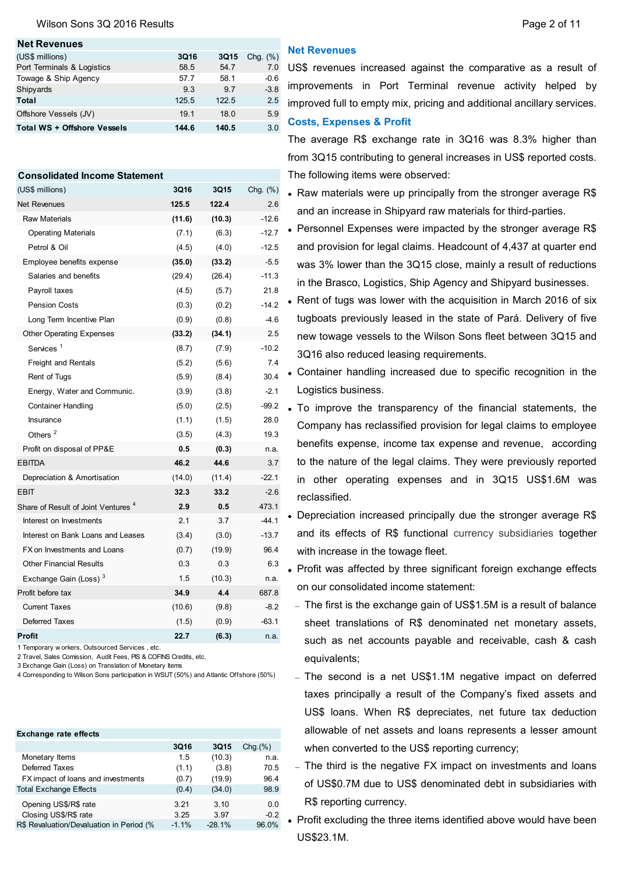### Wilson Sons 3Q 2016 Results **Page 2 of 11** Number 2 of 11

#### **Net Revenues**

| (US\$ millions)             | 3Q16  | 3Q15  | Chq. $(\%)$ |
|-----------------------------|-------|-------|-------------|
| Port Terminals & Logistics  | 58.5  | 54.7  | 7.0         |
| Towage & Ship Agency        | 57.7  | 58.1  | $-0.6$      |
| Shipyards                   | 93    | 9.7   | $-3.8$      |
| Total                       | 125.5 | 122.5 | 2.5         |
| Offshore Vessels (JV)       | 19.1  | 18.0  | 5.9         |
| Total WS + Offshore Vessels | 144.6 | 140.5 | 3.0         |
|                             |       |       |             |

### **Consolidated Income Statement**

| (US\$ millions)                                | 3Q16   | 3Q15   | Chg. (%) |
|------------------------------------------------|--------|--------|----------|
| <b>Net Revenues</b>                            | 125.5  | 122.4  | 2.6      |
| <b>Raw Materials</b>                           | (11.6) | (10.3) | $-12.6$  |
| <b>Operating Materials</b>                     | (7.1)  | (6.3)  | $-12.7$  |
| Petrol & Oil                                   | (4.5)  | (4.0)  | $-12.5$  |
| Employee benefits expense                      | (35.0) | (33.2) | $-5.5$   |
| Salaries and benefits                          | (29.4) | (26.4) | $-11.3$  |
| Payroll taxes                                  | (4.5)  | (5.7)  | 21.8     |
| <b>Pension Costs</b>                           | (0.3)  | (0.2)  | $-14.2$  |
| Long Term Incentive Plan                       | (0.9)  | (0.8)  | $-4.6$   |
| <b>Other Operating Expenses</b>                | (33.2) | (34.1) | 2.5      |
| Services <sup>1</sup>                          | (8.7)  | (7.9)  | $-10.2$  |
| Freight and Rentals                            | (5.2)  | (5.6)  | 7.4      |
| Rent of Tugs                                   | (5.9)  | (8.4)  | 30.4     |
| Energy, Water and Communic.                    | (3.9)  | (3.8)  | $-2.1$   |
| <b>Container Handling</b>                      | (5.0)  | (2.5)  | -99.2    |
| Insurance                                      | (1.1)  | (1.5)  | 28.0     |
| Others <sup>2</sup>                            | (3.5)  | (4.3)  | 19.3     |
| Profit on disposal of PP&E                     | 0.5    | (0.3)  | n.a.     |
| <b>EBITDA</b>                                  | 46.2   | 44.6   | 3.7      |
| Depreciation & Amortisation                    | (14.0) | (11.4) | $-22.1$  |
| <b>EBIT</b>                                    | 32.3   | 33.2   | $-2.6$   |
| Share of Result of Joint Ventures <sup>4</sup> | 2.9    | 0.5    | 473.1    |
| Interest on Investments                        | 2.1    | 3.7    | $-44.1$  |
| Interest on Bank Loans and Leases              | (3.4)  | (3.0)  | $-13.7$  |
| FX on Investments and Loans                    | (0.7)  | (19.9) | 96.4     |
| <b>Other Financial Results</b>                 | 0.3    | 0.3    | 6.3      |
| Exchange Gain (Loss) <sup>3</sup>              | 1.5    | (10.3) | n.a.     |
| Profit before tax                              | 34.9   | 4.4    | 687.8    |
| <b>Current Taxes</b>                           | (10.6) | (9.8)  | $-8.2$   |
| Deferred Taxes                                 | (1.5)  | (0.9)  | $-63.1$  |
| Profit                                         | 22.7   | (6.3)  | n.a.     |

1 Temporary w orkers, Outsourced Services , etc.

2 Travel, Sales Comission, Audit Fees, PIS & COFINS Credits, etc.

3 Exchange Gain (Loss) on Translation of Monetary Items

4 Corresponding to Wilson Sons participation in WSUT (50%) and Atlantic Offshore (50%)

| <b>Exchange rate effects</b>             |             |             |               |
|------------------------------------------|-------------|-------------|---------------|
|                                          | <b>3Q16</b> | <b>3Q15</b> | $Chq.$ $(\%)$ |
| Monetary Items                           | 1.5         | (10.3)      | n.a.          |
| Deferred Taxes                           | (1.1)       | (3.8)       | 70.5          |
| FX impact of loans and investments       | (0.7)       | (19.9)      | 96.4          |
| <b>Total Exchange Effects</b>            | (0.4)       | (34.0)      | 98.9          |
| Opening US\$/R\$ rate                    | 3.21        | 3.10        | 0.0           |
| Closing US\$/R\$ rate                    | 3.25        | 3.97        | $-0.2$        |
| R\$ Revaluation/Devaluation in Period (% | $-1.1\%$    | $-28.1%$    | 96.0%         |

## **Net Revenues**

US\$ revenues increased against the comparative as a result of improvements in Port Terminal revenue activity helped by improved full to empty mix, pricing and additional ancillary services. **Costs, Expenses & Profit**

The average R\$ exchange rate in 3Q16 was 8.3% higher than from 3Q15 contributing to general increases in US\$ reported costs. The following items were observed:

- Raw materials were up principally from the stronger average R\$ and an increase in Shipyard raw materials for third-parties.
- Personnel Expenses were impacted by the stronger average R\$ and provision for legal claims. Headcount of 4,437 at quarter end was 3% lower than the 3Q15 close, mainly a result of reductions in the Brasco, Logistics, Ship Agency and Shipyard businesses.
- Rent of tugs was lower with the acquisition in March 2016 of six tugboats previously leased in the state of Pará. Delivery of five new towage vessels to the Wilson Sons fleet between 3Q15 and 3Q16 also reduced leasing requirements.
- Container handling increased due to specific recognition in the Logistics business.
- To improve the transparency of the financial statements, the Company has reclassified provision for legal claims to employee benefits expense, income tax expense and revenue, according to the nature of the legal claims. They were previously reported in other operating expenses and in 3Q15 US\$1.6M was reclassified.
- Depreciation increased principally due the stronger average R\$ and its effects of R\$ functional currency subsidiaries together with increase in the towage fleet.
- Profit was affected by three significant foreign exchange effects on our consolidated income statement:
	- The first is the exchange gain of US\$1.5M is a result of balance sheet translations of R\$ denominated net monetary assets, such as net accounts payable and receivable, cash & cash equivalents;
	- The second is a net US\$1.1M negative impact on deferred taxes principally a result of the Company's fixed assets and US\$ loans. When R\$ depreciates, net future tax deduction allowable of net assets and loans represents a lesser amount when converted to the US\$ reporting currency;
	- The third is the negative FX impact on investments and loans of US\$0.7M due to US\$ denominated debt in subsidiaries with R\$ reporting currency.
- Profit excluding the three items identified above would have been US\$23.1M.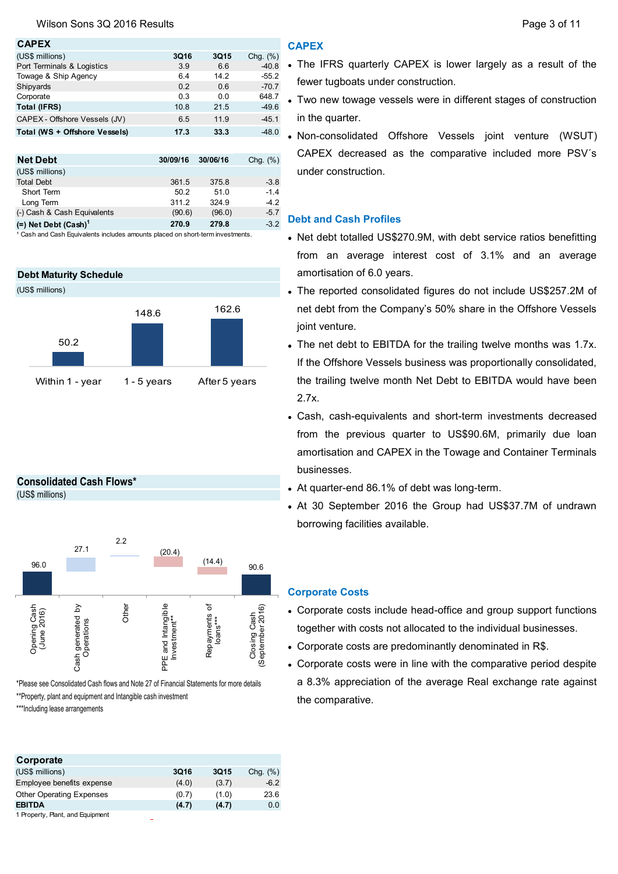### **CAPEX**

| (US\$ millions)               | 3Q16 | 3Q15 | Chg. $(\%)$ |
|-------------------------------|------|------|-------------|
| Port Terminals & Logistics    | 3.9  | 6.6  | $-40.8$     |
| Towage & Ship Agency          | 6.4  | 14.2 | $-55.2$     |
| Shipyards                     | 0.2  | 0.6  | $-70.7$     |
| Corporate                     | 0.3  | 0.0  | 648.7       |
| <b>Total (IFRS)</b>           | 10.8 | 21.5 | $-49.6$     |
| CAPEX - Offshore Vessels (JV) | 6.5  | 11.9 | $-45.1$     |
| Total (WS + Offshore Vessels) | 17.3 | 33.3 | $-48.0$     |
|                               |      |      |             |

| <b>Net Debt</b>                    | 30/09/16 | 30/06/16 | Chg. $(\%)$ |
|------------------------------------|----------|----------|-------------|
| (US\$ millions)                    |          |          |             |
| <b>Total Debt</b>                  | 361.5    | 375.8    | $-3.8$      |
| Short Term                         | 50.2     | 51.0     | $-1.4$      |
| Long Term                          | 311.2    | 324.9    | $-4.2$      |
| (-) Cash & Cash Equivalents        | (90.6)   | (96.0)   | $-5.7$      |
| $(=)$ Net Debt (Cash) <sup>1</sup> | 270.9    | 279.8    | $-3.2$      |

<sup>1</sup> Cash and Cash Equivalents includes amounts placed on short-term investments

### **Debt Maturity Schedule**



### **Consolidated Cash Flows\***

(US\$ millions)



\*Please see Consolidated Cash flows and Note 27 of Financial Statements for more details

\*\*Property, plant and equipment and Intangible cash investment

\*\*\*Including lease arrangements

### **Corporate**  (US\$ millions) **3Q16 3Q15** Chg. (%) Employee benefits expense (4.0) (3.7) -6.2 Other Operating Expenses (0.7) (1.0) 23.6 **EBITDA (4.7) (4.7)** 0.0 1 Property, Plant, and Equipment

### **CAPEX**

- The IFRS quarterly CAPEX is lower largely as a result of the fewer tugboats under construction.
- Two new towage vessels were in different stages of construction in the quarter.
- Non-consolidated Offshore Vessels joint venture (WSUT) CAPEX decreased as the comparative included more PSV´s under construction.

### **Debt and Cash Profiles**

- Net debt totalled US\$270.9M, with debt service ratios benefitting from an average interest cost of 3.1% and an average amortisation of 6.0 years.
- The reported consolidated figures do not include US\$257.2M of net debt from the Company's 50% share in the Offshore Vessels joint venture.
- The net debt to EBITDA for the trailing twelve months was 1.7x. If the Offshore Vessels business was proportionally consolidated, the trailing twelve month Net Debt to EBITDA would have been 2.7x.
- Cash, cash-equivalents and short-term investments decreased from the previous quarter to US\$90.6M, primarily due loan amortisation and CAPEX in the Towage and Container Terminals businesses.
- At quarter-end 86.1% of debt was long-term.
- At 30 September 2016 the Group had US\$37.7M of undrawn borrowing facilities available.

### **Corporate Costs**

- Corporate costs include head-office and group support functions together with costs not allocated to the individual businesses.
- Corporate costs are predominantly denominated in R\$.
- Corporate costs were in line with the comparative period despite a 8.3% appreciation of the average Real exchange rate against the comparative.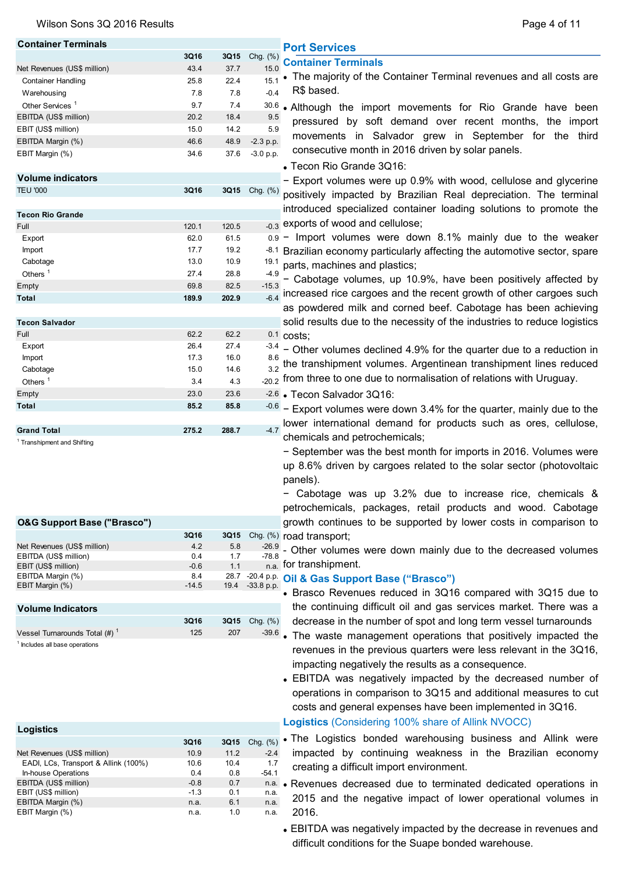| <b>Container Terminals</b>                   |               |             |                 | <b>Port Services</b>                                                               |
|----------------------------------------------|---------------|-------------|-----------------|------------------------------------------------------------------------------------|
|                                              | 3Q16          | 3Q15        | Chg. (%)        | <b>Container Terminals</b>                                                         |
| Net Revenues (US\$ million)                  | 43.4          | 37.7        | 15.0            | • The majority of the Container Terminal revenues and all costs are                |
| <b>Container Handling</b>                    | 25.8          | 22.4        | 15.1            |                                                                                    |
| Warehousing                                  | 7.8           | 7.8         | $-0.4$          | R\$ based.                                                                         |
| Other Services <sup>1</sup>                  | 9.7           | 7.4         | 30.6            | • Although the import movements for Rio Grande have been                           |
| EBITDA (US\$ million)                        | 20.2          | 18.4        | 9.5             | pressured by soft demand over recent months, the import                            |
| EBIT (US\$ million)                          | 15.0          | 14.2        | 5.9             |                                                                                    |
| EBITDA Margin (%)                            | 46.6          | 48.9        | $-2.3$ p.p.     | movements in Salvador grew in September for the third                              |
| EBIT Margin (%)                              | 34.6          | 37.6        | $-3.0 p.p.$     | consecutive month in 2016 driven by solar panels.<br>• Tecon Rio Grande 3Q16:      |
| <b>Volume indicators</b>                     |               |             |                 |                                                                                    |
| <b>TEU '000</b>                              | 3Q16          |             | 3Q15 Chg. (%)   | - Export volumes were up 0.9% with wood, cellulose and glycerine                   |
|                                              |               |             |                 | positively impacted by Brazilian Real depreciation. The terminal                   |
|                                              |               |             |                 | introduced specialized container loading solutions to promote the                  |
| <b>Tecon Rio Grande</b>                      |               | 120.5       |                 | -0.3 exports of wood and cellulose;                                                |
| Full                                         | 120.1<br>62.0 | 61.5        |                 | $_{0.9}$ - Import volumes were down 8.1% mainly due to the weaker                  |
| Export<br>Import                             | 17.7          | 19.2        |                 |                                                                                    |
| Cabotage                                     | 13.0          | 10.9        |                 | -8.1 Brazilian economy particularly affecting the automotive sector, spare         |
|                                              |               |             | 19.1            | parts, machines and plastics;                                                      |
| Others $1$                                   | 27.4          | 28.8        | $-4.9$          | - Cabotage volumes, up 10.9%, have been positively affected by                     |
| Empty                                        | 69.8          | 82.5        | $-15.3$         | $\frac{1}{6.4}$ increased rice cargoes and the recent growth of other cargoes such |
| Total                                        | 189.9         | 202.9       |                 | as powdered milk and corned beef. Cabotage has been achieving                      |
|                                              |               |             |                 |                                                                                    |
| <b>Tecon Salvador</b>                        |               |             |                 | solid results due to the necessity of the industries to reduce logistics           |
| Full                                         | 62.2          | 62.2        |                 | $0.1$ costs;                                                                       |
| Export                                       | 26.4          | 27.4        |                 | $-3.4$ – Other volumes declined 4.9% for the quarter due to a reduction in         |
| Import                                       | 17.3          | 16.0        | 8.6             | $\frac{32}{3.2}$ the transhipment volumes. Argentinean transhipment lines reduced  |
| Cabotage                                     | 15.0          | 14.6        |                 |                                                                                    |
| Others $1$                                   | 3.4           | 4.3         |                 | <sub>-20.2</sub> from three to one due to normalisation of relations with Uruguay. |
| Empty                                        | 23.0          | 23.6        |                 | $-2.6$ • Tecon Salvador 3Q16:                                                      |
| Total                                        | 85.2          | 85.8        |                 | $-0.6$ – Export volumes were down 3.4% for the quarter, mainly due to the          |
|                                              |               |             |                 | lower international demand for products such as ores, cellulose,                   |
| <b>Grand Total</b>                           | 275.2         | 288.7       | $-4.7$          | chemicals and petrochemicals;                                                      |
| <sup>1</sup> Transhipment and Shifting       |               |             |                 |                                                                                    |
|                                              |               |             |                 | - September was the best month for imports in 2016. Volumes were                   |
|                                              |               |             |                 | up 8.6% driven by cargoes related to the solar sector (photovoltaic                |
|                                              |               |             |                 | panels).                                                                           |
|                                              |               |             |                 | - Cabotage was up 3.2% due to increase rice, chemicals &                           |
|                                              |               |             |                 | petrochemicals, packages, retail products and wood. Cabotage                       |
|                                              |               |             |                 |                                                                                    |
| <b>O&amp;G Support Base ("Brasco")</b>       |               |             |                 | growth continues to be supported by lower costs in comparison to                   |
|                                              | 3Q16          | <b>3Q15</b> |                 | Chg. (%) road transport;                                                           |
| Net Revenues (US\$ million)                  | 4.2           | 5.8<br>1.7  | $-78.8$         | $\frac{-26.9}{70.8}$ - Other volumes were down mainly due to the decreased volumes |
| EBITDA (US\$ million)<br>EBIT (US\$ million) | 0.4<br>$-0.6$ | 1.1         |                 | $n.a.$ for transhipment.                                                           |
| EBITDA Margin (%)                            | 8.4           |             |                 | 28.7 -20.4 p.p. Oil & Gas Support Base ("Brasco")                                  |
| EBIT Margin (%)                              | -14.5         |             | 19.4 -33.8 p.p. |                                                                                    |
|                                              |               |             |                 | • Brasco Revenues reduced in 3Q16 compared with 3Q15 due to                        |
| <b>Volume Indicators</b>                     |               |             |                 | the continuing difficult oil and gas services market. There was a                  |
|                                              | 3Q16          |             | 3Q15 Chg. (%)   | decrease in the number of spot and long term vessel turnarounds                    |
| Vessel Turnarounds Total $(\#)^{-1}$         | 125           | 207         |                 | -39.6. The waste management operations that positively impacted the                |
| <sup>1</sup> Includes all base operations    |               |             |                 |                                                                                    |
|                                              |               |             |                 | revenues in the previous quarters were less relevant in the 3Q16,                  |
|                                              |               |             |                 | impacting negatively the results as a consequence.                                 |
|                                              |               |             |                 | • EBITDA was negatively impacted by the decreased number of                        |
|                                              |               |             |                 | operations in comparison to 3Q15 and additional measures to cut                    |
|                                              |               |             |                 | costs and general expenses have been implemented in 3Q16.                          |
|                                              |               |             |                 |                                                                                    |
| <b>Logistics</b>                             |               |             |                 | Logistics (Considering 100% share of Allink NVOCC)                                 |
|                                              | 3Q16          | 3Q15        | Chg. (%)        | . The Logistics bonded warehousing business and Allink were                        |
| Net Revenues (US\$ million)                  | 10.9          | 11.2        | $-2.4$          | impacted by continuing weakness in the Brazilian economy                           |
|                                              |               |             |                 |                                                                                    |

| 10.O   | IV.4 |         | creating a difficult import environment.                            |
|--------|------|---------|---------------------------------------------------------------------|
| 0.4    | 0.8  | $-54.1$ |                                                                     |
| $-0.8$ | 0.7  |         | n.a. • Revenues decreased due to terminated dedicated operations in |
| $-1.3$ | 0.1  | n.a.    |                                                                     |
| n.a.   | 6.1  | n.a.    | 2015 and the negative impact of lower operational volumes in        |
| n.a.   | 1 0  | n.a.    | -2016.                                                              |
|        |      |         |                                                                     |

EBITDA was negatively impacted by the decrease in revenues and difficult conditions for the Suape bonded warehouse.

|                                      | 3Q16   | <b>3Q15</b> | Chg. $(\%)$ |
|--------------------------------------|--------|-------------|-------------|
| Net Revenues (US\$ million)          | 10.9   | 11.2        | $-2.4$      |
| EADI, LCs, Transport & Allink (100%) | 10.6   | 10.4        | 17          |
| In-house Operations                  | 0.4    | 0.8         | $-54.1$     |
| EBITDA (US\$ million)                | $-0.8$ | 0.7         | n.a.        |
| EBIT (US\$ million)                  | $-1.3$ | 0.1         | n.a.        |
| EBITDA Margin (%)                    | n.a.   | 6.1         | n.a.        |
| EBIT Margin (%)                      | n.a.   | 1.0         | n.a.        |

# Wilson Sons 3Q 2016 Results **Page 4 of 11**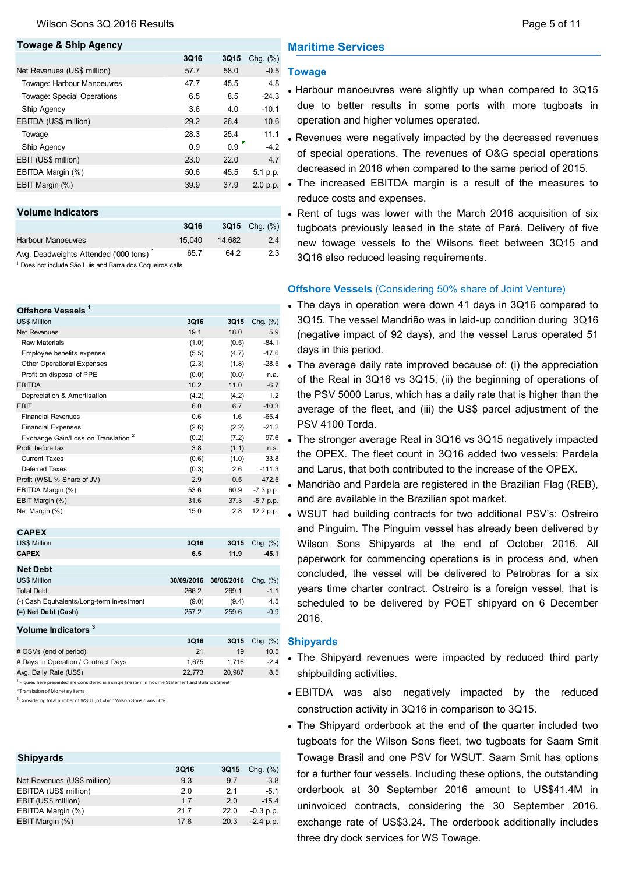### **Towage & Ship Agency 3Q16 3Q15** Chg. (%) Net Revenues (US\$ million) 57.7 58.0 -0.5 Towage: Harbour Manoeuvres 47.7 45.5 4.8 Towage: Special Operations 6.5 8.5 -24.3 Ship Agency 3.6 4.0 -10.1 EBITDA (US\$ million) 29.2 26.4 10.6 Towage 28.3 25.4 11.1 Ship Agency 0.9 0.9 4.2 EBIT (US\$ million) 23.0 22.0 4.7 EBITDA Margin (%) 60.6 45.5 5.1 p.p. EBIT Margin (%) 39.9 37.9

| <b>3Q16</b> | $3Q15$ Chq. $(\%)$ |        |
|-------------|--------------------|--------|
|             |                    |        |
|             |                    |        |
| 15.040      |                    | 2.4    |
| 657         | 64.2               | 2.3    |
|             |                    | 14.682 |

1 Does not include São Luis and Barra dos Coqueiros calls

### **Offshore Vessels <sup>1</sup>** US\$ Million **3Q16 3Q15** Chg. (%) Net Revenues 19.1 18.0 5.9 Raw Materials (1.0) (0.5) -84.1 Employee benefits expense (5.5) (4.7) -17.6 Other Operational Expenses (2.3) (1.8) -28.5 • Profit on disposal of PPE (0.0) (0.0) n.a. EBITDA 10.2 11.0 -6.7 Depreciation & Amortisation (4.2) (4.2) 1.2 EBIT 6.0 6.7 -10.3 Financial Revenues **1.6** -65.4 Financial Expenses (2.6) (2.2) -21.2 Exchange Gain/Loss on Translation <sup>2</sup>  $(0.2)$   $(7.2)$  97.6 Profit before tax 3.8 (1.1) n.a. Current Taxes (0.6) (1.0) 33.8 Deferred Taxes (0.3) 2.6 -111.3 Profit (WSL % Share of JV) 2.9 0.5 472.5 EBITDA Margin (%) 60.9 -7.3 p.p. EBIT Margin (%) 31.6 37.3 -5.7 p.p. Net Margin (%) 15.0 2.8 12.2 p.p. **CAPEX**

| <b>UAFEA</b>                              |            |            |             |
|-------------------------------------------|------------|------------|-------------|
| <b>US\$ Million</b>                       | 3Q16       | 3Q15       | Chg. $(\%)$ |
| <b>CAPEX</b>                              | 6.5        | 11.9       | $-45.1$     |
|                                           |            |            |             |
| <b>Net Debt</b>                           |            |            |             |
| <b>US\$ Million</b>                       | 30/09/2016 | 30/06/2016 | Chg. $(\%)$ |
| <b>Total Debt</b>                         | 266.2      | 269.1      | $-1.1$      |
| (-) Cash Equivalents/Long-term investment | (9.0)      | (9.4)      | 4.5         |
| (=) Net Debt (Cash)                       | 257.2      | 259.6      | $-0.9$      |
|                                           |            |            |             |
| Volume Indicators <sup>3</sup>            |            |            |             |
|                                           |            |            |             |

|                                                                                                                | 3Q16   | 3Q15   | Chq. $(\%)$ |
|----------------------------------------------------------------------------------------------------------------|--------|--------|-------------|
| # OSVs (end of period)                                                                                         | 21     | 19     | 10.5        |
| # Days in Operation / Contract Days                                                                            | 1.675  | 1.716  | $-2.4$      |
| Avg. Daily Rate (US\$)                                                                                         | 22.773 | 20.987 | 8.5         |
| <sup>1</sup> Figures here presented are considered in a single line item in Income Statement and Balance Sheet |        |        |             |
| <sup>2</sup> Translation of Monetary Items                                                                     |        |        |             |
|                                                                                                                |        |        |             |

3 Considering total number of WSUT, of which Wilson Sons owns 50%

| <b>Shipyards</b>            |             |             |             |
|-----------------------------|-------------|-------------|-------------|
|                             | <b>3Q16</b> | <b>3Q15</b> | Chg. $(\%)$ |
| Net Revenues (US\$ million) | 9.3         | 9.7         | $-3.8$      |
| EBITDA (US\$ million)       | 2.0         | 21          | $-5.1$      |
| EBIT (US\$ million)         | 17          | 20          | $-15.4$     |
| EBITDA Margin (%)           | 21.7        | 22.0        | $-0.3$ p.p. |
| EBIT Margin (%)             | 17.8        | 20.3        | $-2.4$ p.p. |

# **Maritime Services**

### **Towage**

- Harbour manoeuvres were slightly up when compared to 3Q15 due to better results in some ports with more tugboats in operation and higher volumes operated.
- Revenues were negatively impacted by the decreased revenues of special operations. The revenues of O&G special operations decreased in 2016 when compared to the same period of 2015.
- $_{2.0\ p.p.}$  The increased EBITDA margin is a result of the measures to reduce costs and expenses.
	- Rent of tugs was lower with the March 2016 acquisition of six tugboats previously leased in the state of Pará. Delivery of five new towage vessels to the Wilsons fleet between 3Q15 and 3Q16 also reduced leasing requirements.

## **Offshore Vessels** (Considering 50% share of Joint Venture)

- The days in operation were down 41 days in 3Q16 compared to 3Q15. The vessel Mandrião was in laid-up condition during 3Q16 (negative impact of 92 days), and the vessel Larus operated 51 days in this period.
- The average daily rate improved because of: (i) the appreciation of the Real in 3Q16 vs 3Q15, (ii) the beginning of operations of the PSV 5000 Larus, which has a daily rate that is higher than the average of the fleet, and (iii) the US\$ parcel adjustment of the PSV 4100 Torda.
- The stronger average Real in 3Q16 vs 3Q15 negatively impacted the OPEX. The fleet count in 3Q16 added two vessels: Pardela and Larus, that both contributed to the increase of the OPEX.
- Mandrião and Pardela are registered in the Brazilian Flag (REB), and are available in the Brazilian spot market.
- WSUT had building contracts for two additional PSV's: Ostreiro and Pinguim. The Pinguim vessel has already been delivered by Wilson Sons Shipyards at the end of October 2016. All paperwork for commencing operations is in process and, when concluded, the vessel will be delivered to Petrobras for a six years time charter contract. Ostreiro is a foreign vessel, that is scheduled to be delivered by POET shipyard on 6 December 2016.

### **Shipyards**

- The Shipyard revenues were impacted by reduced third party shipbuilding activities.
- EBITDA was also negatively impacted by the reduced construction activity in 3Q16 in comparison to 3Q15.
- The Shipyard orderbook at the end of the quarter included two tugboats for the Wilson Sons fleet, two tugboats for Saam Smit Towage Brasil and one PSV for WSUT. Saam Smit has options for a further four vessels. Including these options, the outstanding orderbook at 30 September 2016 amount to US\$41.4M in uninvoiced contracts, considering the 30 September 2016. exchange rate of US\$3.24. The orderbook additionally includes three dry dock services for WS Towage.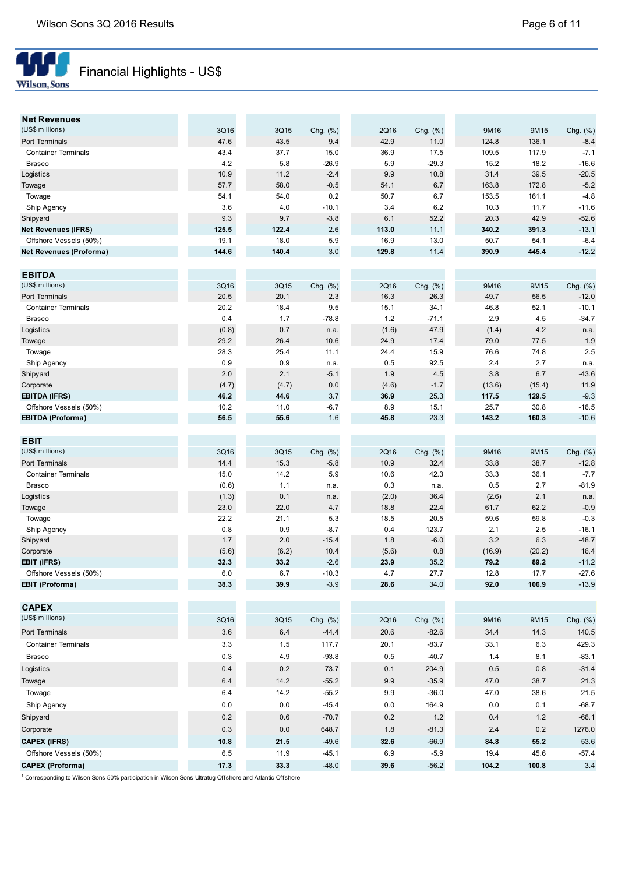

# Financial Highlights - US\$

| <b>Net Revenues</b>              |              |              |                 |              |                  |              |              |                     |
|----------------------------------|--------------|--------------|-----------------|--------------|------------------|--------------|--------------|---------------------|
| (US\$ millions)                  | 3Q16         | 3Q15         | Chg. (%)        | 2Q16         | Chg. (%)         | 9M16         | 9M15         | Chg. (%)            |
| Port Terminals                   | 47.6         | 43.5         | 9.4             | 42.9         | 11.0             | 124.8        | 136.1        | $-8.4$              |
| <b>Container Terminals</b>       | 43.4         | 37.7         | 15.0            | 36.9         | 17.5             | 109.5        | 117.9        | $-7.1$              |
| <b>Brasco</b>                    | 4.2          | 5.8          | $-26.9$         | 5.9          | $-29.3$          | 15.2         | 18.2         | $-16.6$             |
| Logistics                        | 10.9         | 11.2         | $-2.4$          | 9.9          | 10.8             | 31.4         | 39.5         | $-20.5$             |
| Towage                           | 57.7         | 58.0         | $-0.5$          | 54.1         | 6.7              | 163.8        | 172.8        | $-5.2$              |
| Towage                           | 54.1         | 54.0         | 0.2             | 50.7         | 6.7              | 153.5        | 161.1        | $-4.8$              |
| Ship Agency                      | 3.6          | 4.0          | $-10.1$         | 3.4          | 6.2              | 10.3         | 11.7         | $-11.6$             |
| Shipyard                         | 9.3          | 9.7          | $-3.8$          | 6.1          | 52.2             | 20.3         | 42.9         | $-52.6$             |
| <b>Net Revenues (IFRS)</b>       | 125.5        | 122.4        | 2.6             | 113.0        | 11.1             | 340.2        | 391.3        | $-13.1$             |
| Offshore Vessels (50%)           | 19.1         | 18.0         | 5.9             | 16.9         | 13.0             | 50.7         | 54.1         | $-6.4$              |
| Net Revenues (Proforma)          | 144.6        | 140.4        | 3.0             | 129.8        | 11.4             | 390.9        | 445.4        | $-12.2$             |
|                                  |              |              |                 |              |                  |              |              |                     |
| <b>EBITDA</b><br>(US\$ millions) |              |              |                 |              |                  |              |              |                     |
| Port Terminals                   | 3Q16<br>20.5 | 3Q15<br>20.1 | Chg. (%)<br>2.3 | 2Q16<br>16.3 | Chg. (%)<br>26.3 | 9M16<br>49.7 | 9M15<br>56.5 | Chg. (%)<br>$-12.0$ |
|                                  |              |              |                 |              |                  |              |              |                     |
| <b>Container Terminals</b>       | 20.2<br>0.4  | 18.4         | 9.5             | 15.1<br>1.2  | 34.1             | 46.8<br>2.9  | 52.1         | $-10.1$             |
| <b>Brasco</b>                    |              | 1.7          | $-78.8$         |              | $-71.1$          |              | 4.5          | $-34.7$             |
| Logistics                        | (0.8)        | 0.7          | n.a.            | (1.6)        | 47.9             | (1.4)        | 4.2          | n.a.                |
| Towage                           | 29.2         | 26.4         | 10.6            | 24.9         | 17.4             | 79.0         | 77.5         | 1.9                 |
| Towage                           | 28.3         | 25.4         | 11.1            | 24.4         | 15.9             | 76.6         | 74.8         | 2.5                 |
| Ship Agency                      | 0.9          | 0.9          | n.a.            | 0.5          | 92.5             | 2.4          | 2.7          | n.a.                |
| Shipyard                         | 2.0          | 2.1          | $-5.1$          | 1.9          | 4.5              | 3.8          | 6.7          | $-43.6$             |
| Corporate                        | (4.7)        | (4.7)        | 0.0             | (4.6)        | $-1.7$           | (13.6)       | (15.4)       | 11.9                |
| <b>EBITDA (IFRS)</b>             | 46.2         | 44.6         | 3.7             | 36.9         | 25.3             | 117.5        | 129.5        | $-9.3$              |
| Offshore Vessels (50%)           | 10.2<br>56.5 | 11.0<br>55.6 | $-6.7$          | 8.9          | 15.1             | 25.7         | 30.8         | $-16.5$             |
| <b>EBITDA (Proforma)</b>         |              |              | 1.6             | 45.8         | 23.3             | 143.2        | 160.3        | $-10.6$             |
| <b>EBIT</b>                      |              |              |                 |              |                  |              |              |                     |
| (US\$ millions)                  | 3Q16         | 3Q15         | Chg. (%)        | 2Q16         | Chg. (%)         | 9M16         | 9M15         | Chg. (%)            |
| Port Terminals                   | 14.4         | 15.3         | $-5.8$          | 10.9         | 32.4             | 33.8         | 38.7         | $-12.8$             |
| <b>Container Terminals</b>       | 15.0         | 14.2         | 5.9             | 10.6         | 42.3             | 33.3         | 36.1         | $-7.7$              |
| <b>Brasco</b>                    | (0.6)        | 1.1          | n.a.            | 0.3          | n.a.             | 0.5          | 2.7          | $-81.9$             |
| Logistics                        | (1.3)        | 0.1          | n.a.            | (2.0)        | 36.4             | (2.6)        | 2.1          | n.a.                |
| Towage                           | 23.0         | 22.0         | 4.7             | 18.8         | 22.4             | 61.7         | 62.2         | $-0.9$              |
| Towage                           | 22.2         | 21.1         | 5.3             | 18.5         | 20.5             | 59.6         | 59.8         | $-0.3$              |
| Ship Agency                      | 0.8          | 0.9          | $-8.7$          | 0.4          | 123.7            | 2.1          | 2.5          | $-16.1$             |
| Shipyard                         | 1.7          | 2.0          | $-15.4$         | 1.8          | $-6.0$           | 3.2          | 6.3          | $-48.7$             |
| Corporate                        | (5.6)        | (6.2)        | 10.4            | (5.6)        | 0.8              | (16.9)       | (20.2)       | 16.4                |
| <b>EBIT (IFRS)</b>               | 32.3         | 33.2         | $-2.6$          | 23.9         | 35.2             | 79.2         | 89.2         | $-11.2$             |
| Offshore Vessels (50%)           | 6.0          | 6.7          | $-10.3$         | 4.7          | 27.7             | 12.8         | 17.7         | $-27.6$             |
| <b>EBIT (Proforma)</b>           | 38.3         | 39.9         | $-3.9$          | 28.6         | 34.0             | 92.0         | 106.9        | $-13.9$             |
|                                  |              |              |                 |              |                  |              |              |                     |
| <b>CAPEX</b>                     |              |              |                 |              |                  |              |              |                     |
| (US\$ millions)                  | 3Q16         | 3Q15         | Chg. (%)        | 2Q16         | Chg. (%)         | 9M16         | 9M15         | Chg. (%)            |
| Port Terminals                   | 3.6          | 6.4          | $-44.4$         | 20.6         | $-82.6$          | 34.4         | 14.3         | 140.5               |
| <b>Container Terminals</b>       | 3.3          | 1.5          | 117.7           | 20.1         | $-83.7$          | 33.1         | 6.3          | 429.3               |
| <b>Brasco</b>                    | $0.3\,$      | 4.9          | $-93.8$         | 0.5          | $-40.7$          | 1.4          | 8.1          | $-83.1$             |
|                                  |              |              |                 |              |                  |              |              |                     |
| Logistics                        | 0.4          | 0.2          | 73.7            | 0.1          | 204.9            | 0.5          | $0.8\,$      | $-31.4$             |
| Towage                           | $6.4\,$      | 14.2         | $-55.2$         | 9.9          | $-35.9$          | 47.0         | 38.7         | 21.3                |
| Towage                           | 6.4          | 14.2         | $-55.2$         | 9.9          | $-36.0$          | 47.0         | 38.6         | 21.5                |
| Ship Agency                      | 0.0          | 0.0          | $-45.4$         | 0.0          | 164.9            | 0.0          | 0.1          | $-68.7$             |
| Shipyard                         | $0.2\,$      | 0.6          | $-70.7$         | 0.2          | 1.2              | 0.4          | 1.2          | $-66.1$             |
| Corporate                        | 0.3          | $0.0\,$      | 648.7           | 1.8          | $-81.3$          | $2.4$        | $0.2\,$      | 1276.0              |
| <b>CAPEX (IFRS)</b>              | 10.8         | 21.5         | $-49.6$         | 32.6         | $-66.9$          | 84.8         | 55.2         | 53.6                |
| Offshore Vessels (50%)           | 6.5          | 11.9         | $-45.1$         | 6.9          | $-5.9$           | 19.4         | 45.6         | $-57.4$             |
| <b>CAPEX (Proforma)</b>          | 17.3         | 33.3         | $-48.0$         | 39.6         | $-56.2$          | 104.2        | 100.8        | 3.4                 |

1 Corresponding to Wilson Sons 50% participation in Wilson Sons Ultratug Offshore and Atlantic Offshore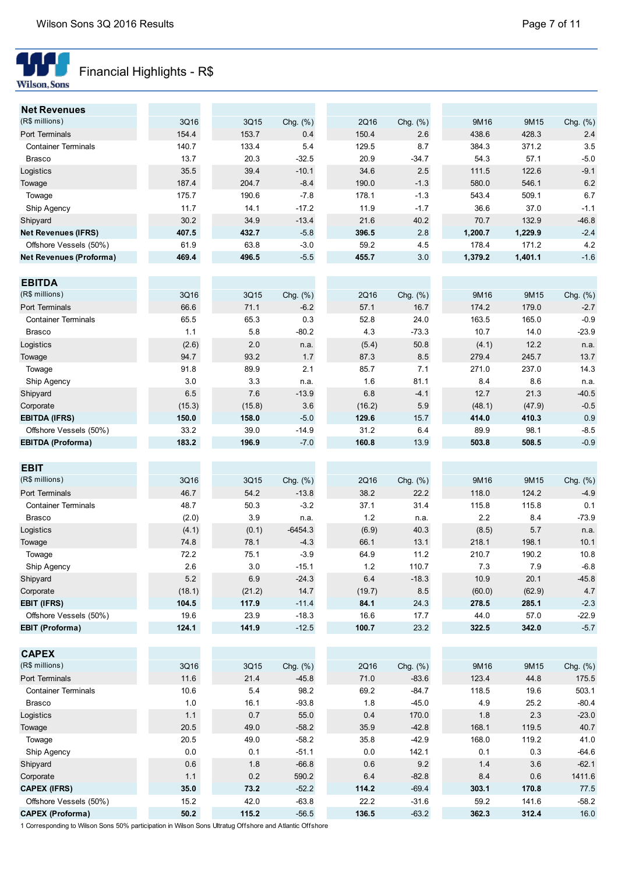

# Financial Highlights - R\$

| <b>Net Revenues</b>            |       |       |             |       |             |         |         |          |
|--------------------------------|-------|-------|-------------|-------|-------------|---------|---------|----------|
| (R\$ millions)                 | 3Q16  | 3Q15  | Chg. $(\%)$ | 2Q16  | Chg. $(\%)$ | 9M16    | 9M15    | Chg. (%) |
| Port Terminals                 | 154.4 | 153.7 | 0.4         | 150.4 | 2.6         | 438.6   | 428.3   | 2.4      |
| <b>Container Terminals</b>     | 140.7 | 133.4 | 5.4         | 129.5 | 8.7         | 384.3   | 371.2   | 3.5      |
| Brasco                         | 13.7  | 20.3  | $-32.5$     | 20.9  | $-34.7$     | 54.3    | 57.1    | $-5.0$   |
| Logistics                      | 35.5  | 39.4  | $-10.1$     | 34.6  | 2.5         | 111.5   | 122.6   | $-9.1$   |
| Towage                         | 187.4 | 204.7 | $-8.4$      | 190.0 | $-1.3$      | 580.0   | 546.1   | 6.2      |
| Towage                         | 175.7 | 190.6 | $-7.8$      | 178.1 | $-1.3$      | 543.4   | 509.1   | 6.7      |
| Ship Agency                    | 11.7  | 14.1  | $-17.2$     | 11.9  | $-1.7$      | 36.6    | 37.0    | $-1.1$   |
| Shipyard                       | 30.2  | 34.9  | $-13.4$     | 21.6  | 40.2        | 70.7    | 132.9   | $-46.8$  |
| <b>Net Revenues (IFRS)</b>     | 407.5 | 432.7 | $-5.8$      | 396.5 | 2.8         | 1,200.7 | 1,229.9 | $-2.4$   |
| Offshore Vessels (50%)         | 61.9  | 63.8  | $-3.0$      | 59.2  | 4.5         | 178.4   | 171.2   | 4.2      |
| <b>Net Revenues (Proforma)</b> | 469.4 | 496.5 | $-5.5$      | 455.7 | 3.0         | 1,379.2 | 1,401.1 | $-1.6$   |
|                                |       |       |             |       |             |         |         |          |

| <b>EBITDA</b>              |        |        |             |        |             |        |        |             |
|----------------------------|--------|--------|-------------|--------|-------------|--------|--------|-------------|
| (R\$ millions)             | 3Q16   | 3Q15   | Chg. $(\%)$ | 2Q16   | Chg. $(\%)$ | 9M16   | 9M15   | Chg. $(\%)$ |
| Port Terminals             | 66.6   | 71.1   | $-6.2$      | 57.1   | 16.7        | 174.2  | 179.0  | $-2.7$      |
| <b>Container Terminals</b> | 65.5   | 65.3   | 0.3         | 52.8   | 24.0        | 163.5  | 165.0  | $-0.9$      |
| <b>Brasco</b>              | 1.1    | 5.8    | $-80.2$     | 4.3    | $-73.3$     | 10.7   | 14.0   | $-23.9$     |
| Logistics                  | (2.6)  | 2.0    | n.a.        | (5.4)  | 50.8        | (4.1)  | 12.2   | n.a.        |
| Towage                     | 94.7   | 93.2   | 1.7         | 87.3   | 8.5         | 279.4  | 245.7  | 13.7        |
| Towage                     | 91.8   | 89.9   | 2.1         | 85.7   | 7.1         | 271.0  | 237.0  | 14.3        |
| Ship Agency                | 3.0    | 3.3    | n.a.        | 1.6    | 81.1        | 8.4    | 8.6    | n.a.        |
| Shipyard                   | 6.5    | 7.6    | $-13.9$     | 6.8    | $-4.1$      | 12.7   | 21.3   | $-40.5$     |
| Corporate                  | (15.3) | (15.8) | 3.6         | (16.2) | 5.9         | (48.1) | (47.9) | $-0.5$      |
| <b>EBITDA (IFRS)</b>       | 150.0  | 158.0  | $-5.0$      | 129.6  | 15.7        | 414.0  | 410.3  | 0.9         |
| Offshore Vessels (50%)     | 33.2   | 39.0   | $-14.9$     | 31.2   | 6.4         | 89.9   | 98.1   | $-8.5$      |
| <b>EBITDA (Proforma)</b>   | 183.2  | 196.9  | $-7.0$      | 160.8  | 13.9        | 503.8  | 508.5  | $-0.9$      |

| <b>EBIT</b>                |        |        |             |        |             |        |        |             |
|----------------------------|--------|--------|-------------|--------|-------------|--------|--------|-------------|
| (R\$ millions)             | 3Q16   | 3Q15   | Chg. $(\%)$ | 2Q16   | Chg. $(\%)$ | 9M16   | 9M15   | Chg. $(\%)$ |
| Port Terminals             | 46.7   | 54.2   | $-13.8$     | 38.2   | 22.2        | 118.0  | 124.2  | $-4.9$      |
| <b>Container Terminals</b> | 48.7   | 50.3   | $-3.2$      | 37.1   | 31.4        | 115.8  | 115.8  | 0.1         |
| <b>Brasco</b>              | (2.0)  | 3.9    | n.a.        | 1.2    | n.a.        | 2.2    | 8.4    | $-73.9$     |
| Logistics                  | (4.1)  | (0.1)  | $-6454.3$   | (6.9)  | 40.3        | (8.5)  | 5.7    | n.a.        |
| Towage                     | 74.8   | 78.1   | $-4.3$      | 66.1   | 13.1        | 218.1  | 198.1  | 10.1        |
| Towage                     | 72.2   | 75.1   | $-3.9$      | 64.9   | 11.2        | 210.7  | 190.2  | 10.8        |
| Ship Agency                | 2.6    | 3.0    | $-15.1$     | 1.2    | 110.7       | 7.3    | 7.9    | $-6.8$      |
| Shipyard                   | 5.2    | 6.9    | $-24.3$     | 6.4    | $-18.3$     | 10.9   | 20.1   | $-45.8$     |
| Corporate                  | (18.1) | (21.2) | 14.7        | (19.7) | 8.5         | (60.0) | (62.9) | 4.7         |
| <b>EBIT (IFRS)</b>         | 104.5  | 117.9  | $-11.4$     | 84.1   | 24.3        | 278.5  | 285.1  | $-2.3$      |
| Offshore Vessels (50%)     | 19.6   | 23.9   | $-18.3$     | 16.6   | 17.7        | 44.0   | 57.0   | $-22.9$     |
| <b>EBIT (Proforma)</b>     | 124.1  | 141.9  | $-12.5$     | 100.7  | 23.2        | 322.5  | 342.0  | $-5.7$      |

| <b>CAPEX</b>               |      |       |             |       |             |       |       |             |
|----------------------------|------|-------|-------------|-------|-------------|-------|-------|-------------|
| (R\$ millions)             | 3Q16 | 3Q15  | Chg. $(\%)$ | 2Q16  | Chg. $(\%)$ | 9M16  | 9M15  | Chg. $(\%)$ |
| Port Terminals             | 11.6 | 21.4  | $-45.8$     | 71.0  | $-83.6$     | 123.4 | 44.8  | 175.5       |
| <b>Container Terminals</b> | 10.6 | 5.4   | 98.2        | 69.2  | $-84.7$     | 118.5 | 19.6  | 503.1       |
| <b>Brasco</b>              | 1.0  | 16.1  | $-93.8$     | 1.8   | $-45.0$     | 4.9   | 25.2  | $-80.4$     |
| Logistics                  | 1.1  | 0.7   | 55.0        | 0.4   | 170.0       | 1.8   | 2.3   | $-23.0$     |
| Towage                     | 20.5 | 49.0  | $-58.2$     | 35.9  | $-42.8$     | 168.1 | 119.5 | 40.7        |
| Towage                     | 20.5 | 49.0  | $-58.2$     | 35.8  | $-42.9$     | 168.0 | 119.2 | 41.0        |
| Ship Agency                | 0.0  | 0.1   | $-51.1$     | 0.0   | 142.1       | 0.1   | 0.3   | $-64.6$     |
| Shipyard                   | 0.6  | 1.8   | $-66.8$     | 0.6   | 9.2         | 1.4   | 3.6   | $-62.1$     |
| Corporate                  | 1.1  | 0.2   | 590.2       | 6.4   | $-82.8$     | 8.4   | 0.6   | 1411.6      |
| <b>CAPEX (IFRS)</b>        | 35.0 | 73.2  | $-52.2$     | 114.2 | $-69.4$     | 303.1 | 170.8 | 77.5        |
| Offshore Vessels (50%)     | 15.2 | 42.0  | $-63.8$     | 22.2  | $-31.6$     | 59.2  | 141.6 | $-58.2$     |
| <b>CAPEX (Proforma)</b>    | 50.2 | 115.2 | $-56.5$     | 136.5 | $-63.2$     | 362.3 | 312.4 | 16.0        |

1 Corresponding to Wilson Sons 50% participation in Wilson Sons Ultratug Offshore and Atlantic Offshore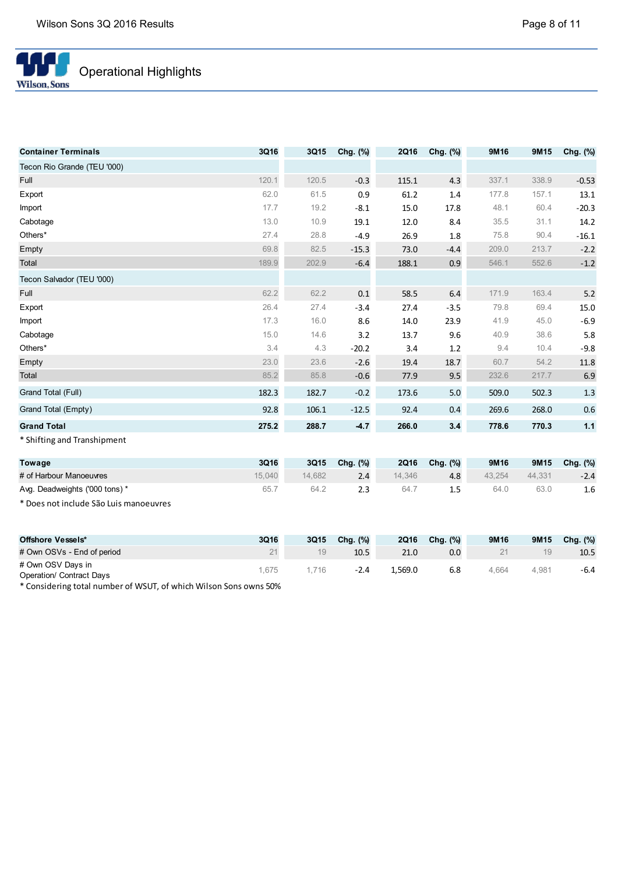

| <b>Container Terminals</b>  | 3Q16  | 3Q15  | Chg. (%) | <b>2Q16</b> | Chg. (%) | 9M16  | 9M15  | Chg. (%) |
|-----------------------------|-------|-------|----------|-------------|----------|-------|-------|----------|
| Tecon Rio Grande (TEU '000) |       |       |          |             |          |       |       |          |
| Full                        | 120.1 | 120.5 | $-0.3$   | 115.1       | 4.3      | 337.1 | 338.9 | $-0.53$  |
| Export                      | 62.0  | 61.5  | 0.9      | 61.2        | 1.4      | 177.8 | 157.1 | 13.1     |
| Import                      | 17.7  | 19.2  | $-8.1$   | 15.0        | 17.8     | 48.1  | 60.4  | $-20.3$  |
| Cabotage                    | 13.0  | 10.9  | 19.1     | 12.0        | 8.4      | 35.5  | 31.1  | 14.2     |
| Others*                     | 27.4  | 28.8  | $-4.9$   | 26.9        | 1.8      | 75.8  | 90.4  | $-16.1$  |
| Empty                       | 69.8  | 82.5  | $-15.3$  | 73.0        | $-4.4$   | 209.0 | 213.7 | $-2.2$   |
| Total                       | 189.9 | 202.9 | $-6.4$   | 188.1       | 0.9      | 546.1 | 552.6 | $-1.2$   |
| Tecon Salvador (TEU '000)   |       |       |          |             |          |       |       |          |
| Full                        | 62.2  | 62.2  | 0.1      | 58.5        | 6.4      | 171.9 | 163.4 | $5.2$    |
| Export                      | 26.4  | 27.4  | $-3.4$   | 27.4        | $-3.5$   | 79.8  | 69.4  | 15.0     |
| Import                      | 17.3  | 16.0  | 8.6      | 14.0        | 23.9     | 41.9  | 45.0  | $-6.9$   |
| Cabotage                    | 15.0  | 14.6  | 3.2      | 13.7        | 9.6      | 40.9  | 38.6  | 5.8      |
| Others*                     | 3.4   | 4.3   | $-20.2$  | 3.4         | 1.2      | 9.4   | 10.4  | $-9.8$   |
| Empty                       | 23.0  | 23.6  | $-2.6$   | 19.4        | 18.7     | 60.7  | 54.2  | 11.8     |
| Total                       | 85.2  | 85.8  | $-0.6$   | 77.9        | 9.5      | 232.6 | 217.7 | 6.9      |
| Grand Total (Full)          | 182.3 | 182.7 | $-0.2$   | 173.6       | 5.0      | 509.0 | 502.3 | 1.3      |
| Grand Total (Empty)         | 92.8  | 106.1 | $-12.5$  | 92.4        | 0.4      | 269.6 | 268.0 | 0.6      |
| <b>Grand Total</b>          | 275.2 | 288.7 | $-4.7$   | 266.0       | 3.4      | 778.6 | 770.3 | 1.1      |
| * Shifting and Transhipment |       |       |          |             |          |       |       |          |

| Towage                         | 3Q16   | 3Q15   | Chg. $(\%)$ | 2Q16   | Chg. (%) | 9M16   | 9M15   | Chg. $(\%)$ |
|--------------------------------|--------|--------|-------------|--------|----------|--------|--------|-------------|
| # of Harbour Manoeuvres        | 15.040 | 14.682 |             | 14.346 | 4.8      | 43.254 | 44.331 | $-2.4$      |
| Avg. Deadweights ('000 tons) * | 65.    | 64.2   |             | 64.    |          | 64.0   | 63.0   | 1.6         |

\* Does not include São Luis manoeuvres

| Offshore Vessels*                                    | 3Q16 | 3Q15 | Chg. $(\%)$ | <b>2Q16</b> | Chg. (%) | 9M16  | 9M15  | Chg. $(\%)$ |
|------------------------------------------------------|------|------|-------------|-------------|----------|-------|-------|-------------|
| # Own OSVs - End of period                           |      | 19   | 10.5        | 21.0        | 0.0      |       | 19    | 10.5        |
| # Own OSV Days in<br><b>Operation/ Contract Days</b> | .675 | 716  | $-2.4$      | 1.569.0     | 6.8      | 4.664 | 4,981 | $-6.4$      |

\* Considering total number of WSUT, of which Wilson Sons owns 50%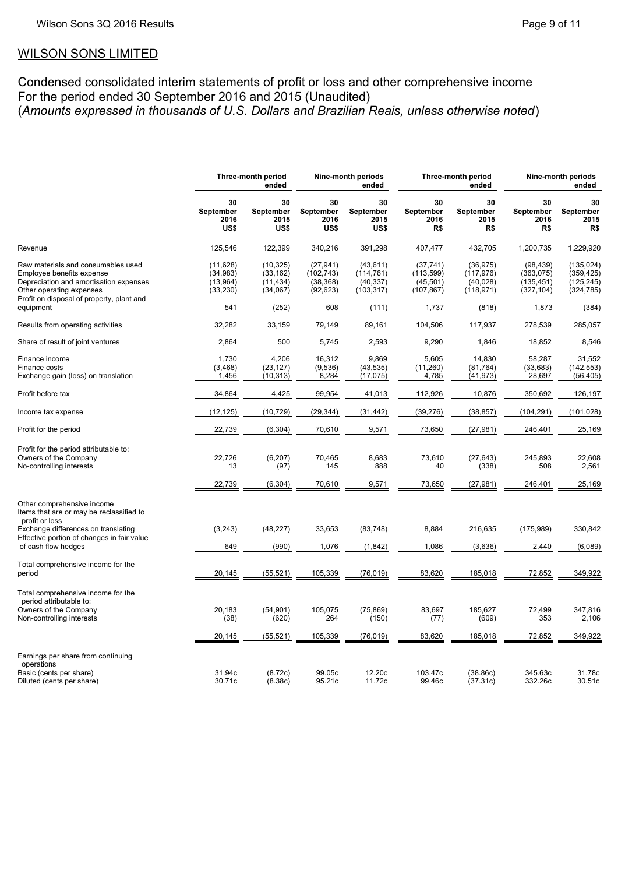# WILSON SONS LIMITED

Condensed consolidated interim statements of profit or loss and other comprehensive income For the period ended 30 September 2016 and 2015 (Unaudited) (*Amounts expressed in thousands of U.S. Dollars and Brazilian Reais, unless otherwise noted*)

|                                                                                                                                                                                                 |                                                         | Three-month period<br>ended                              |                                                          | Nine-month periods<br>ended                                 |                                                             | Three-month period<br>ended                                 |                                                             | Nine-month periods<br>ended                                   |
|-------------------------------------------------------------------------------------------------------------------------------------------------------------------------------------------------|---------------------------------------------------------|----------------------------------------------------------|----------------------------------------------------------|-------------------------------------------------------------|-------------------------------------------------------------|-------------------------------------------------------------|-------------------------------------------------------------|---------------------------------------------------------------|
|                                                                                                                                                                                                 | 30<br>September<br>2016<br>US\$                         | 30<br>September<br>2015<br>US\$                          | 30<br>September<br>2016<br>US\$                          | 30<br>September<br>2015<br>US\$                             | 30<br>September<br>2016<br>R\$                              | 30<br>September<br>2015<br>R\$                              | 30<br>September<br>2016<br>R\$                              | 30<br>September<br>2015<br>R\$                                |
| Revenue                                                                                                                                                                                         | 125,546                                                 | 122,399                                                  | 340,216                                                  | 391,298                                                     | 407,477                                                     | 432,705                                                     | 1,200,735                                                   | 1,229,920                                                     |
| Raw materials and consumables used<br>Employee benefits expense<br>Depreciation and amortisation expenses<br>Other operating expenses<br>Profit on disposal of property, plant and<br>equipment | (11, 628)<br>(34, 983)<br>(13, 964)<br>(33, 230)<br>541 | (10, 325)<br>(33, 162)<br>(11, 434)<br>(34,067)<br>(252) | (27, 941)<br>(102, 743)<br>(38, 368)<br>(92, 623)<br>608 | (43, 611)<br>(114, 761)<br>(40, 337)<br>(103, 317)<br>(111) | (37, 741)<br>(113, 599)<br>(45, 501)<br>(107, 867)<br>1,737 | (36, 975)<br>(117, 976)<br>(40, 028)<br>(118, 971)<br>(818) | (98, 439)<br>(363,075)<br>(135, 451)<br>(327, 104)<br>1,873 | (135, 024)<br>(359, 425)<br>(125, 245)<br>(324, 785)<br>(384) |
| Results from operating activities                                                                                                                                                               | 32,282                                                  | 33,159                                                   | 79,149                                                   | 89,161                                                      | 104,506                                                     | 117,937                                                     | 278,539                                                     | 285,057                                                       |
| Share of result of joint ventures                                                                                                                                                               | 2,864                                                   | 500                                                      | 5,745                                                    | 2,593                                                       | 9,290                                                       | 1,846                                                       | 18,852                                                      | 8,546                                                         |
| Finance income<br>Finance costs<br>Exchange gain (loss) on translation                                                                                                                          | 1,730<br>(3, 468)<br>1,456                              | 4,206<br>(23, 127)<br>(10, 313)                          | 16,312<br>(9,536)<br>8,284                               | 9,869<br>(43, 535)<br>(17, 075)                             | 5,605<br>(11,260)<br>4,785                                  | 14,830<br>(81, 764)<br>(41, 973)                            | 58,287<br>(33, 683)<br>28,697                               | 31,552<br>(142, 553)<br>(56, 405)                             |
| Profit before tax                                                                                                                                                                               | 34,864                                                  | 4,425                                                    | 99,954                                                   | 41,013                                                      | 112,926                                                     | 10,876                                                      | 350,692                                                     | 126,197                                                       |
| Income tax expense                                                                                                                                                                              | (12, 125)                                               | (10, 729)                                                | (29, 344)                                                | (31, 442)                                                   | (39, 276)                                                   | (38, 857)                                                   | (104, 291)                                                  | (101, 028)                                                    |
| Profit for the period                                                                                                                                                                           | 22,739                                                  | (6, 304)                                                 | 70,610                                                   | 9,571                                                       | 73,650                                                      | (27, 981)                                                   | 246,401                                                     | 25,169                                                        |
| Profit for the period attributable to:<br>Owners of the Company<br>No-controlling interests                                                                                                     | 22,726<br>13                                            | (6, 207)<br>(97)                                         | 70,465<br>145                                            | 8,683<br>888                                                | 73,610<br>40                                                | (27, 643)<br>(338)                                          | 245,893<br>508                                              | 22,608<br>2,561                                               |
|                                                                                                                                                                                                 | 22,739                                                  | (6, 304)                                                 | 70,610                                                   | 9,571                                                       | 73,650                                                      | (27, 981)                                                   | 246,401                                                     | 25,169                                                        |
| Other comprehensive income<br>Items that are or may be reclassified to<br>profit or loss                                                                                                        |                                                         |                                                          |                                                          |                                                             |                                                             |                                                             |                                                             |                                                               |
| Exchange differences on translating<br>Effective portion of changes in fair value                                                                                                               | (3, 243)                                                | (48, 227)                                                | 33,653                                                   | (83, 748)                                                   | 8,884                                                       | 216,635                                                     | (175, 989)                                                  | 330,842                                                       |
| of cash flow hedges                                                                                                                                                                             | 649                                                     | (990)                                                    | 1,076                                                    | (1, 842)                                                    | 1,086                                                       | (3,636)                                                     | 2,440                                                       | (6,089)                                                       |
| Total comprehensive income for the<br>period                                                                                                                                                    | 20,145                                                  | (55, 521)                                                | 105,339                                                  | (76, 019)                                                   | 83,620                                                      | 185,018                                                     | 72,852                                                      | 349,922                                                       |
| Total comprehensive income for the<br>period attributable to:<br>Owners of the Company                                                                                                          | 20,183                                                  | (54, 901)                                                | 105,075                                                  | (75, 869)                                                   | 83,697                                                      | 185,627                                                     | 72,499                                                      | 347,816                                                       |
| Non-controlling interests                                                                                                                                                                       | (38)                                                    | (620)                                                    | 264                                                      | (150)                                                       | (77)                                                        | (609)                                                       | 353                                                         | 2,106                                                         |
|                                                                                                                                                                                                 | 20,145                                                  | (55, 521)                                                | 105,339                                                  | (76, 019)                                                   | 83,620                                                      | 185,018                                                     | 72,852                                                      | 349,922                                                       |
| Earnings per share from continuing<br>operations<br>Basic (cents per share)<br>Diluted (cents per share)                                                                                        | 31.94c<br>30.71c                                        | (8.72c)<br>(8.38c)                                       | 99.05c<br>95.21c                                         | 12.20c<br>11.72c                                            | 103.47c<br>99.46c                                           | (38.86c)<br>(37.31c)                                        | 345.63c<br>332.26c                                          | 31.78c<br>30.51c                                              |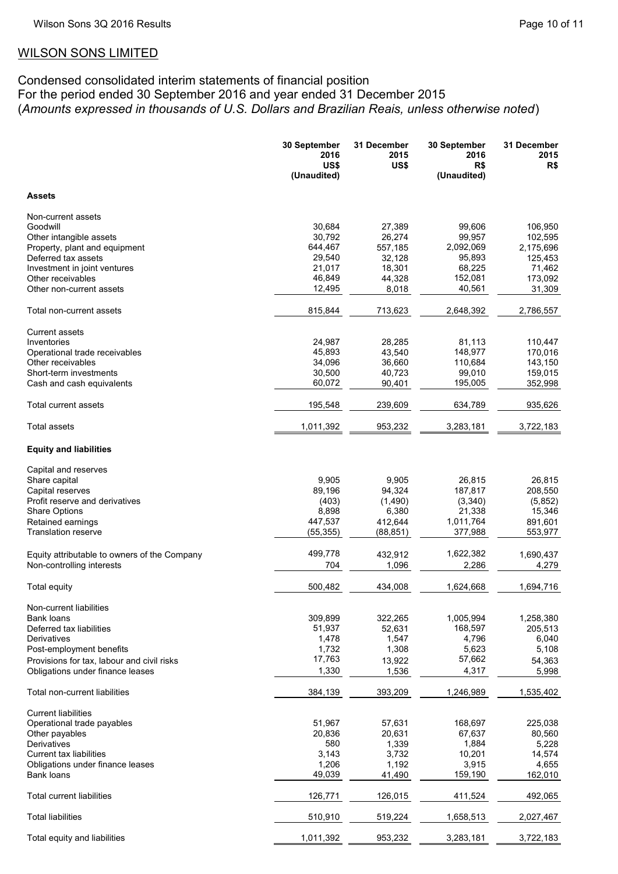# WILSON SONS LIMITED

# Condensed consolidated interim statements of financial position For the period ended 30 September 2016 and year ended 31 December 2015 (*Amounts expressed in thousands of U.S. Dollars and Brazilian Reais, unless otherwise noted*)

|                                                                                | 30 September<br>2016<br>US\$<br>(Unaudited) | 31 December<br>2015<br>US\$ | 30 September<br>2016<br>R\$<br>(Unaudited) | 31 December<br>2015<br>R\$ |
|--------------------------------------------------------------------------------|---------------------------------------------|-----------------------------|--------------------------------------------|----------------------------|
| <b>Assets</b>                                                                  |                                             |                             |                                            |                            |
| Non-current assets                                                             |                                             |                             |                                            |                            |
| Goodwill                                                                       | 30,684                                      | 27,389                      | 99,606                                     | 106,950                    |
| Other intangible assets                                                        | 30,792                                      | 26,274                      | 99,957                                     | 102,595                    |
| Property, plant and equipment                                                  | 644,467                                     | 557,185                     | 2,092,069                                  | 2,175,696                  |
| Deferred tax assets                                                            | 29,540                                      | 32,128                      | 95,893                                     | 125,453                    |
| Investment in joint ventures                                                   | 21,017                                      | 18,301                      | 68,225                                     | 71,462                     |
| Other receivables                                                              | 46,849                                      | 44,328                      | 152,081                                    | 173,092                    |
| Other non-current assets                                                       | 12,495                                      | 8,018                       | 40,561                                     | 31,309                     |
| Total non-current assets                                                       | 815,844                                     | 713,623                     | 2,648,392                                  | 2,786,557                  |
| <b>Current assets</b>                                                          |                                             |                             |                                            |                            |
| Inventories                                                                    | 24,987                                      | 28,285                      | 81,113                                     | 110,447                    |
| Operational trade receivables                                                  | 45,893                                      | 43,540                      | 148,977                                    | 170,016                    |
| Other receivables                                                              | 34,096                                      | 36,660                      | 110,684                                    | 143,150                    |
| Short-term investments                                                         | 30,500                                      | 40,723                      | 99,010                                     | 159,015                    |
| Cash and cash equivalents                                                      | 60,072                                      | 90,401                      | 195,005                                    | 352,998                    |
| Total current assets                                                           | 195,548                                     | 239,609                     | 634,789                                    | 935,626                    |
| <b>Total assets</b>                                                            | 1,011,392                                   | 953,232                     | 3,283,181                                  | 3,722,183                  |
| <b>Equity and liabilities</b>                                                  |                                             |                             |                                            |                            |
| Capital and reserves                                                           |                                             |                             |                                            |                            |
| Share capital                                                                  | 9,905                                       | 9,905                       | 26,815                                     | 26,815                     |
| Capital reserves                                                               | 89,196                                      | 94,324                      | 187,817                                    | 208,550                    |
| Profit reserve and derivatives                                                 | (403)                                       | (1,490)                     | (3,340)                                    | (5,852)                    |
| <b>Share Options</b>                                                           | 8,898                                       | 6,380                       | 21,338                                     | 15,346                     |
| Retained earnings                                                              | 447,537                                     | 412,644                     | 1,011,764                                  | 891,601                    |
| <b>Translation reserve</b>                                                     | (55, 355)                                   | (88, 851)                   | 377,988                                    | 553,977                    |
| Equity attributable to owners of the Company                                   | 499,778                                     | 432,912                     | 1,622,382                                  | 1,690,437                  |
| Non-controlling interests                                                      | 704                                         | 1,096                       | 2,286                                      | 4,279                      |
|                                                                                |                                             |                             |                                            |                            |
| <b>Total equity</b>                                                            | 500,482                                     | 434,008                     | 1,624,668                                  | 1,694,716                  |
| Non-current liabilities                                                        |                                             |                             |                                            |                            |
| Bank loans                                                                     | 309,899                                     | 322,265                     | 1,005,994                                  | 1,258,380                  |
| Deferred tax liabilities                                                       | 51,937                                      | 52,631                      | 168,597                                    | 205,513                    |
| Derivatives                                                                    | 1,478                                       | 1,547                       | 4,796                                      | 6,040                      |
| Post-employment benefits                                                       | 1,732<br>17,763                             | 1,308                       | 5,623<br>57,662                            | 5,108                      |
| Provisions for tax, labour and civil risks<br>Obligations under finance leases | 1,330                                       | 13,922<br>1,536             | 4,317                                      | 54,363                     |
|                                                                                |                                             |                             |                                            | 5,998                      |
| Total non-current liabilities                                                  | 384,139                                     | 393,209                     | 1,246,989                                  | 1,535,402                  |
| <b>Current liabilities</b>                                                     |                                             |                             |                                            |                            |
| Operational trade payables                                                     | 51,967                                      | 57,631                      | 168,697                                    | 225,038                    |
| Other payables                                                                 | 20,836                                      | 20,631                      | 67,637                                     | 80,560                     |
| Derivatives                                                                    | 580                                         | 1,339                       | 1,884                                      | 5,228                      |
| Current tax liabilities                                                        | 3,143                                       | 3,732                       | 10,201                                     | 14,574                     |
| Obligations under finance leases                                               | 1,206<br>49,039                             | 1,192                       | 3,915                                      | 4,655                      |
| Bank loans                                                                     |                                             | 41,490                      | 159,190                                    | 162,010                    |
| <b>Total current liabilities</b>                                               | 126,771                                     | 126,015                     | 411,524                                    | 492,065                    |
| <b>Total liabilities</b>                                                       | 510,910                                     | 519,224                     | 1,658,513                                  | 2,027,467                  |
| Total equity and liabilities                                                   | 1,011,392                                   | 953,232                     | 3,283,181                                  | 3,722,183                  |